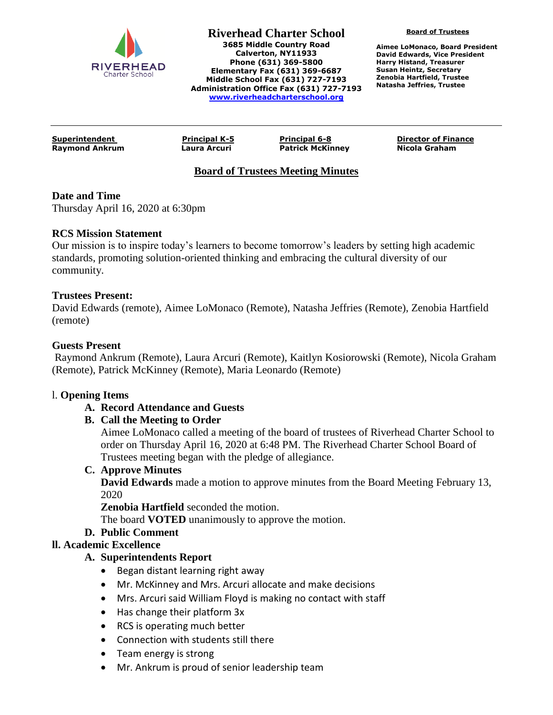

**Riverhead Charter School 3685 Middle Country Road Calverton, NY11933 Phone (631) 369-5800 Elementary Fax (631) 369-6687 Middle School Fax (631) 727-7193 Administration Office Fax (631) 727-7193 [www.riverheadcharterschool.org](http://www.riverheadcharterschool.org/)**

**Board of Trustees**

**Aimee LoMonaco, Board President David Edwards, Vice President Harry Histand, Treasurer Susan Heintz, Secretary Zenobia Hartfield, Trustee Natasha Jeffries, Trustee**

**Raymond Ankrum Laura Arcuri Patrick McKinney Nicola Graham**

**Superintendent Principal K-5 Principal 6-8 Director of Finance**

# **Board of Trustees Meeting Minutes**

## **Date and Time**

Thursday April 16, 2020 at 6:30pm

## **RCS Mission Statement**

Our mission is to inspire today's learners to become tomorrow's leaders by setting high academic standards, promoting solution-oriented thinking and embracing the cultural diversity of our community.

#### **Trustees Present:**

David Edwards (remote), Aimee LoMonaco (Remote), Natasha Jeffries (Remote), Zenobia Hartfield (remote)

#### **Guests Present**

Raymond Ankrum (Remote), Laura Arcuri (Remote), Kaitlyn Kosiorowski (Remote), Nicola Graham (Remote), Patrick McKinney (Remote), Maria Leonardo (Remote)

#### l. **Opening Items**

## **A. Record Attendance and Guests**

## **B. Call the Meeting to Order**

Aimee LoMonaco called a meeting of the board of trustees of Riverhead Charter School to order on Thursday April 16, 2020 at 6:48 PM. The Riverhead Charter School Board of Trustees meeting began with the pledge of allegiance.

#### **C. Approve Minutes**

**David Edwards** made a motion to approve minutes from the Board Meeting February 13, 2020

**Zenobia Hartfield** seconded the motion.

The board **VOTED** unanimously to approve the motion.

## **D. Public Comment**

## **ll. Academic Excellence**

## **A. Superintendents Report**

- Began distant learning right away
- Mr. McKinney and Mrs. Arcuri allocate and make decisions
- Mrs. Arcuri said William Floyd is making no contact with staff
- Has change their platform 3x
- RCS is operating much better
- Connection with students still there
- Team energy is strong
- Mr. Ankrum is proud of senior leadership team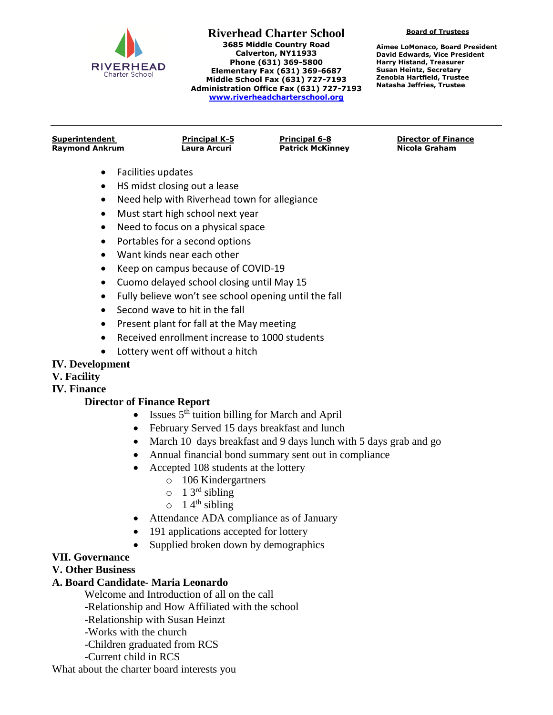

**Riverhead Charter School 3685 Middle Country Road Calverton, NY11933 Phone (631) 369-5800 Elementary Fax (631) 369-6687 Middle School Fax (631) 727-7193 Administration Office Fax (631) 727-7193 [www.riverheadcharterschool.org](http://www.riverheadcharterschool.org/)**

**Board of Trustees**

**Aimee LoMonaco, Board President David Edwards, Vice President Harry Histand, Treasurer Susan Heintz, Secretary Zenobia Hartfield, Trustee Natasha Jeffries, Trustee**

**Raymond Ankrum Laura Arcuri Patrick McKinney Nicola Graham**

**Superintendent Principal K-5 Principal 6-8 Director of Finance**

- Facilities updates
- HS midst closing out a lease
- Need help with Riverhead town for allegiance
- Must start high school next year
- Need to focus on a physical space
- Portables for a second options
- Want kinds near each other
- Keep on campus because of COVID-19
- Cuomo delayed school closing until May 15
- Fully believe won't see school opening until the fall
- Second wave to hit in the fall
- Present plant for fall at the May meeting
- Received enrollment increase to 1000 students
- Lottery went off without a hitch

## **IV. Development**

#### **V. Facility**

**IV. Finance**

#### **Director of Finance Report**

- $\bullet$  Issues 5<sup>th</sup> tuition billing for March and April
- February Served 15 days breakfast and lunch
- March 10 days breakfast and 9 days lunch with 5 days grab and go
- Annual financial bond summary sent out in compliance
- Accepted 108 students at the lottery
	- o 106 Kindergartners
	- $\circ$  1 3<sup>rd</sup> sibling
	- $\circ$  1 4<sup>th</sup> sibling
- Attendance ADA compliance as of January
- 191 applications accepted for lottery
- Supplied broken down by demographics

## **VII. Governance**

#### **V. Other Business**

#### **A. Board Candidate- Maria Leonardo**

Welcome and Introduction of all on the call

-Relationship and How Affiliated with the school

- -Relationship with Susan Heinzt
- -Works with the church

-Children graduated from RCS

-Current child in RCS

What about the charter board interests you